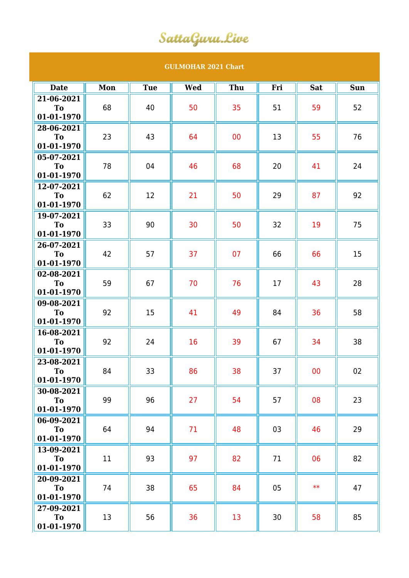## SattaGuru.Live

## **GULMOHAR 2021 Chart**

| <b>Date</b>             | Mon | <b>Tue</b> | <b>Wed</b> | Thu | Fri | <b>Sat</b> | <b>Sun</b> |
|-------------------------|-----|------------|------------|-----|-----|------------|------------|
| 21-06-2021              |     |            |            |     |     |            |            |
| T <sub>o</sub>          | 68  | 40         | 50         | 35  | 51  | 59         | 52         |
| 01-01-1970              |     |            |            |     |     |            |            |
| 28-06-2021<br><b>To</b> | 23  | 43         | 64         | 00  | 13  | 55         | 76         |
| 01-01-1970              |     |            |            |     |     |            |            |
| 05-07-2021              |     |            |            |     |     |            |            |
| To                      | 78  | 04         | 46         | 68  | 20  | 41         | 24         |
| 01-01-1970              |     |            |            |     |     |            |            |
| 12-07-2021              |     |            |            |     |     |            |            |
| <b>To</b>               | 62  | 12         | 21         | 50  | 29  | 87         | 92         |
| 01-01-1970              |     |            |            |     |     |            |            |
| 19-07-2021<br>To        | 33  | 90         | 30         | 50  | 32  | 19         | 75         |
| 01-01-1970              |     |            |            |     |     |            |            |
| 26-07-2021              |     |            |            |     |     |            |            |
| To                      | 42  | 57         | 37         | 07  | 66  | 66         | 15         |
| 01-01-1970              |     |            |            |     |     |            |            |
| 02-08-2021              | 59  | 67         | 70         | 76  | 17  | 43         | 28         |
| <b>To</b>               |     |            |            |     |     |            |            |
| 01-01-1970              |     |            |            |     |     |            |            |
| 09-08-2021<br><b>To</b> | 92  | 15         | 41         | 49  | 84  | 36         | 58         |
| 01-01-1970              |     |            |            |     |     |            |            |
| 16-08-2021              |     |            |            |     |     |            |            |
| <b>To</b>               | 92  | 24         | 16         | 39  | 67  | 34         | 38         |
| 01-01-1970              |     |            |            |     |     |            |            |
| 23-08-2021              |     |            |            |     |     |            |            |
| <b>To</b><br>01-01-1970 | 84  | 33         | 86         | 38  | 37  | 00         | 02         |
| 30-08-2021              |     |            |            |     |     |            |            |
| <b>To</b>               | 99  | 96         | 27         | 54  | 57  | 08         | 23         |
| 01-01-1970              |     |            |            |     |     |            |            |
| 06-09-2021              |     |            |            |     |     |            |            |
| <b>To</b>               | 64  | 94         | 71         | 48  | 03  | 46         | 29         |
| 01-01-1970              |     |            |            |     |     |            |            |
| 13-09-2021<br>To        | 11  | 93         | 97         | 82  | 71  | 06         | 82         |
| 01-01-1970              |     |            |            |     |     |            |            |
| 20-09-2021              |     |            |            |     |     |            |            |
| To                      | 74  | 38         | 65         | 84  | 05  | $**$       | 47         |
| 01-01-1970              |     |            |            |     |     |            |            |
| 27-09-2021              |     |            |            |     |     |            |            |
| To                      | 13  | 56         | 36         | 13  | 30  | 58         | 85         |
| 01-01-1970              |     |            |            |     |     |            |            |